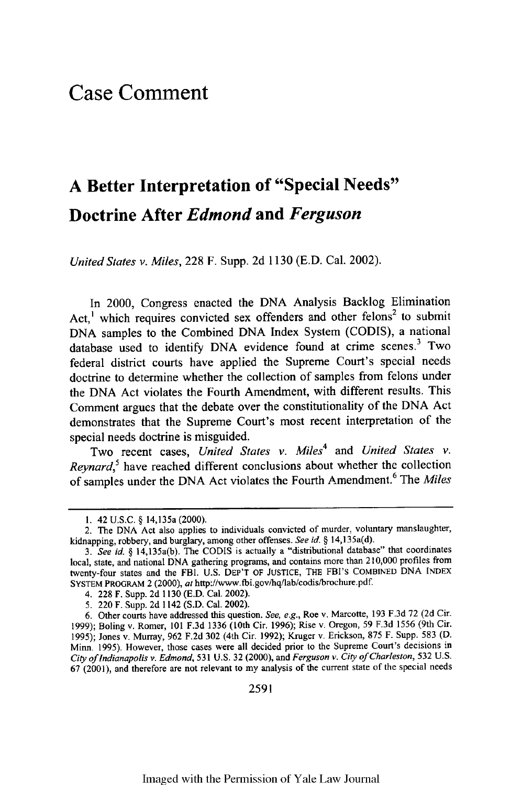## **Case Comment**

## **A Better Interpretation of "Special Needs" Doctrine After** *Edmond* **and** *Ferguson*

*United States v. Miles,* **228** F. Supp. **2d 1130 (E.D.** Cal. 2002).

In 2000, Congress enacted the DNA Analysis Backlog Elimination Act,<sup>1</sup> which requires convicted sex offenders and other felons<sup>2</sup> to submit DNA samples to the Combined DNA Index System (CODIS), a national database used to identify DNA evidence found at crime scenes.<sup>3</sup> Two federal district courts have applied the Supreme Court's special needs doctrine to determine whether the collection of samples from felons under the DNA Act violates the Fourth Amendment, with different results. This Comment argues that the debate over the constitutionality of the DNA Act demonstrates that the Supreme Court's most recent interpretation of the special needs doctrine is misguided.

Two recent cases, *United States v. Miles<sup>4</sup>*and *United States v. Reynard*,<sup>5</sup> have reached different conclusions about whether the collection of samples under the DNA Act violates the Fourth Amendment.6 The *Miles*

2591

<sup>1. 42</sup> U.S.C. § 14,135a (2000).

<sup>2.</sup> The **DNA** Act also applies to individuals convicted of murder, voluntary manslaughter, kidnapping, robbery, and burglary, among other offenses. *See id. §* 14,135a(d).

*<sup>3.</sup> See id. §* 14,135a(b). The **CODIS** is actually a "distributional database" that coordinates local, state, and national DNA gathering programs, and contains more than 2 10,000 profiles from twenty-four states and the FBI. U.S. DEP'T OF JUSTICE, THE FBI's COMBINED DNA INDEX SYSTEM PROGRAM 2 (2000), at http://www.fbi.govihq/lab/codis/brochure.pdf.

<sup>4. 228</sup> F. Supp. 2d 1130 (E.D. Cal. 2002).

<sup>5.</sup> 220 F. Supp. 2d 1142 (S.D. Cal. 2002).

<sup>6.</sup> Other courts have addressed this question. *See, e.g.,* Roe v. Marcotte, 193 F.3d 72 (2d Cir. 1999); Boling v. Romer, 101 F.3d 1336 (10th Cir. 1996); Rise v. Oregon, 59 F.3d 1556 (9th Cir. 1995); Jones v. Murray, 962 F.2d 302 (4th Cir. 1992); Kruger v. Erickson, 875 F. Supp. 583 (D. Minn. 1995). However, those cases were all decided prior to the Supreme Court's decisions in *City of Indianapolis v. Edmond,* 531 U.S. 32 (2000), and *Ferguson v. City of Charleston,* 532 U.S. 67 **(2001),** and therefore are not relevant to my analysis of the current state of the special needs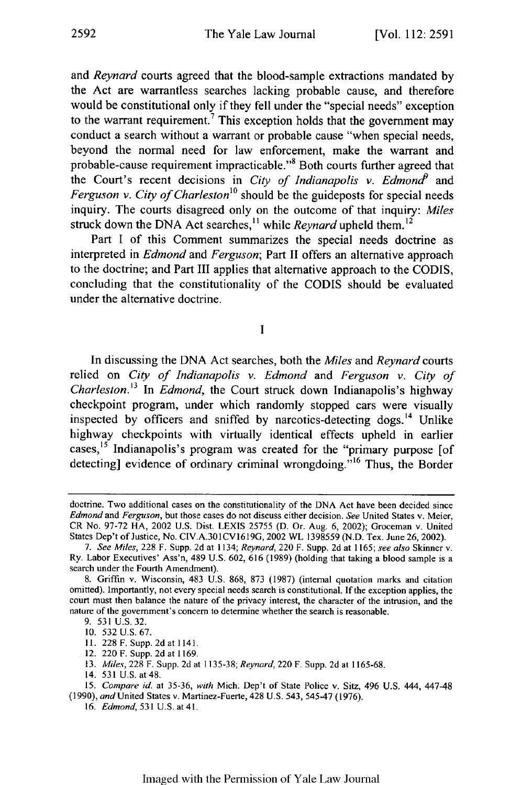and *Reynard* courts agreed that the blood-sample extractions mandated by the Act are warrantless searches lacking probable cause, and therefore would be constitutional only if they fell under the "special needs" exception to the warrant requirement.<sup>7</sup> This exception holds that the government may conduct a search without a warrant or probable cause "when special needs, beyond the normal need for law enforcement, make the warrant and probable-cause requirement impracticable."<sup>8</sup> Both courts further agreed that the Court's recent decisions in *City of Indianapolis v. Edmona9* and *Ferguson v. City of Charleston°* should be the guideposts for special needs inquiry. The courts disagreed only on the outcome of that inquiry: *Miles* struck down the DNA Act searches,<sup>11</sup> while *Reynard* upheld them.<sup>12</sup>

Part I of this Comment summarizes the special needs doctrine as interpreted in *Edmond* and *Ferguson;* Part II offers an alternative approach to the doctrine; and Part III applies that alternative approach to the CODIS, concluding that the constitutionality of the CODIS should be evaluated under the alternative doctrine.

**I**

In discussing the DNA Act searches, both the *Miles* and *Reynard* courts relied on *City of Indianapolis v. Edmond* and *Ferguson v. City of Charleston.13 In Edmond,* the Court struck down Indianapolis's highway checkpoint program, under which randomly stopped cars were visually inspected by officers and sniffed by narcotics-detecting dogs. $14$  Unlike highway checkpoints with virtually identical effects upheld in earlier cases, 15 Indianapolis's program was created for the "primary purpose [of detecting] evidence of ordinary criminal wrongdoing."<sup>16</sup> Thus, the Border

- 12. 220 F. Supp. 2d at 1169.
- **13.** *Miles,* 228 F. Supp. 2d at 1135-38; *Reynard,* 220 F. Supp. 2d at 1165-68.

doctrine. Two additional cases on the constitutionality of the DNA Act have been decided since *Edmond* and *Ferguson,* but those cases do not discuss either decision. *See* United States v. Meier, CR No. 97-72 HA, 2002 U.S. Dist. LEXIS 25755 (D. Or. Aug. 6, 2002); Groceman v. United States Dep't of Justice, No. CIV.A.301CV1619G, 2002 WL 1398559 (N.D. Tex. June 26, 2002).

<sup>7.</sup> See *Miles,* 228 F. Supp. 2d at 1134; *Reynard,* 220 F. Supp. 2d at 1165; *see also* Skinner v. Ry. Labor Executives' Ass'n, 489 U.S. 602, 616 (1989) (holding that taking a blood sample is a search under the Fourth Amendment).

<sup>8.</sup> Griffin v. Wisconsin, 483 U.S. 868, 873 (1987) (internal quotation marks and citation omitted). Importantly, not every special needs search is constitutional. If the exception applies, the court must then balance the nature of the privacy interest, the character of the intrusion, and the nature of the government's concern to determine whether the search is reasonable.

<sup>9. 531</sup> U.S. 32.

<sup>10. 532</sup> U.S. 67.

**I.** 228 F. Supp. 2d at 1141.

<sup>14. 531</sup> U.S. at 48.

<sup>15.</sup> *Compare id.* at 35-36, *with* Mich. Dep't of State Police v. Sitz, 496 U.S. 444, 447-48 (1990), and United States v. Martinez-Fuerte, 428 U.S. 543, 545-47 (1976).

<sup>16.</sup> *Edmond,* 531 U.S. **at41.**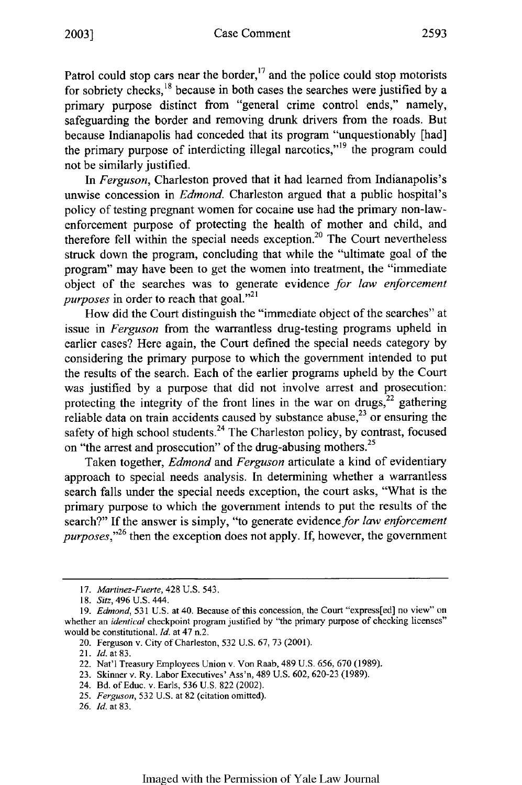Patrol could stop cars near the border, $^{17}$  and the police could stop motorists for sobriety checks, $18$  because in both cases the searches were justified by a primary purpose distinct from "general crime control ends," namely, safeguarding the border and removing drunk drivers from the roads. But because Indianapolis had conceded that its program "unquestionably [had] the primary purpose of interdicting illegal narcotics,"<sup>19</sup> the program could not be similarly justified.

In *Ferguson,* Charleston proved that it had learned from Indianapolis's unwise concession in *Edmond.* Charleston argued that a public hospital's policy of testing pregnant women for cocaine use had the primary non-lawenforcement purpose of protecting the health of mother and child, and therefore fell within the special needs exception.<sup>20</sup> The Court nevertheless struck down the program, concluding that while the "ultimate goal of the program" may have been to get the women into treatment, the "immediate object of the searches was to generate evidence *for law enforcement purposes* in order to reach that goal."<sup>21</sup>

How did the Court distinguish the "immediate object of the searches" at issue in *Ferguson* from the warrantless drug-testing programs upheld in earlier cases? Here again, the Court defined the special needs category by considering the primary purpose to which the government intended to put the results of the search. Each of the earlier programs upheld by the Court was justified by a purpose that did not involve arrest and prosecution: protecting the integrity of the front lines in the war on drugs, $^{22}$  gathering reliable data on train accidents caused by substance abuse, $2^3$  or ensuring the safety of high school students.<sup>24</sup> The Charleston policy, by contrast, focused on "the arrest and prosecution" of the drug-abusing mothers.<sup>25</sup>

Taken together, *Edmond* and *Ferguson* articulate a kind of evidentiary approach to special needs analysis. In determining whether a warrantless search falls under the special needs exception, the court asks, "What is the primary purpose to which the government intends to put the results of the search?" If the answer is simply, "to generate evidence for law enforcement *purposes*,"<sup>26</sup> then the exception does not apply. If, however, the government

*<sup>17.</sup> Martinez-Fuerte,* 428 U.S. 543.

*<sup>18.</sup> Sitz,* 496 U.S. 444.

<sup>19.</sup> *Edmond,* 531 U.S. at 40. Because of this concession, the Court "express[ed] no view" on whether an *identical* checkpoint program justified by "the primary purpose of checking licenses" would be constitutional. *Id.* at 47 n.2.

<sup>20.</sup> Ferguson v. City of Charleston, 532 U.S. 67, 73 (2001).

<sup>21.</sup> ld. at 83.

<sup>22.</sup> Nat'l Treasury Employees Union v. Von Raab, 489 U.S. 656. 670 (1989).

<sup>23.</sup> Skinner v. Ry. Labor Executives' Ass'n, 489 U.S. 602, 620-23 (1989).

<sup>24.</sup> Bd. of Educ. v. Earls, 536 U.S. 822 (2002).

<sup>25.</sup> *Ferguson,* 532 U.S. at 82 (citation omitted).

<sup>26.</sup> *Id.* at 83.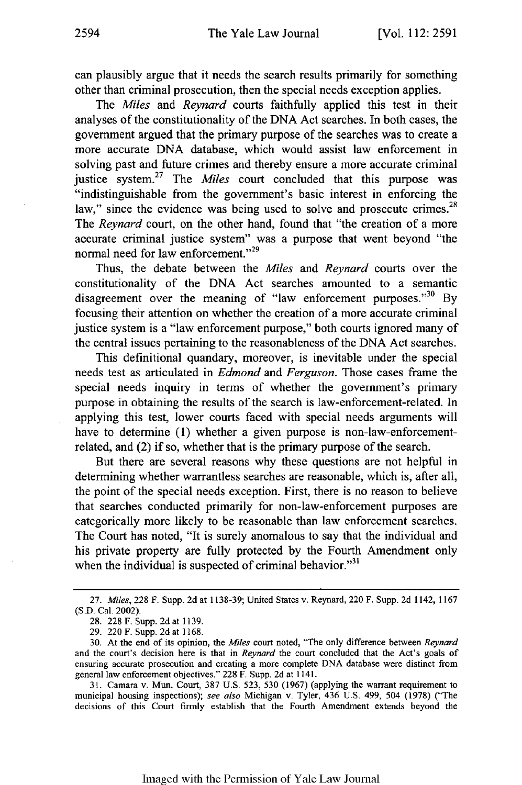can plausibly argue that it needs the search results primarily for something other than criminal prosecution, then the special needs exception applies.

The *Miles* and *Reynard* courts faithfully applied this test in their analyses of the constitutionality of the DNA Act searches. In both cases, the government argued that the primary purpose of the searches was to create a more accurate DNA database, which would assist law enforcement in solving past and future crimes and thereby ensure a more accurate criminal justice system.<sup>27</sup> The *Miles* court concluded that this purpose was "indistinguishable from the government's basic interest in enforcing the law," since the evidence was being used to solve and prosecute crimes. $^{28}$ The *Reynard* court, on the other hand, found that "the creation of a more accurate criminal justice system" was a purpose that went beyond "the normal need for law enforcement."<sup>29</sup>

Thus, the debate between the *Miles* and *Reynard* courts over the constitutionality of the DNA Act searches amounted to a semantic disagreement over the meaning of "law enforcement purposes."  $30\;\mathrm{By}$ focusing their attention on whether the creation of a more accurate criminal justice system is a "law enforcement purpose," both courts ignored many of the central issues pertaining to the reasonableness of the DNA Act searches.

This definitional quandary, moreover, is inevitable under the special needs test as articulated in *Edmond* and *Ferguson.* Those cases frame the special needs inquiry in terms of whether the government's primary purpose in obtaining the results of the search is law-enforcement-related. In applying this test, lower courts faced with special needs arguments will have to determine (1) whether a given purpose is non-law-enforcementrelated, and (2) if so, whether that is the primary purpose of the search.

But there are several reasons why these questions are not helpful in determining whether warrantless searches are reasonable, which is, after all, the point of the special needs exception. First, there is no reason to believe that searches conducted primarily for non-law-enforcement purposes are categorically more likely to be reasonable than law enforcement searches. The Court has noted, "It is surely anomalous to say that the individual and his private property are fully protected by the Fourth Amendment only when the individual is suspected of criminal behavior." $31$ 

<sup>27.</sup> *Miles,* 228 F. Supp. 2d at 1138-39; United States v. Reynard, 220 F. Supp. 2d 1142, 1167 (S.D. Cal. 2002).

<sup>28. 228</sup> F. Supp. 2d at 1139.

<sup>29. 220</sup> F. Supp. 2d at **1168.**

<sup>30.</sup> At the end of its opinion, the *Miles* court noted, "The only difference between *Reynard* and the court's decision here is that in *Reynard* the court concluded that the Act's goals of ensuring accurate prosecution and creating a more complete DNA database were distinct from general law enforcement objectives." 228 F. Supp. 2d at 1141.

<sup>31.</sup> Camara v. Mun. Court, 387 U.S. 523, 530 (1967) (applying the warrant requirement to municipal housing inspections); *see also* Michigan v. Tyler, 436 U.S. 499, 504 (1978) ("The decisions of this Court firmly establish that the Fourth Amendment extends beyond the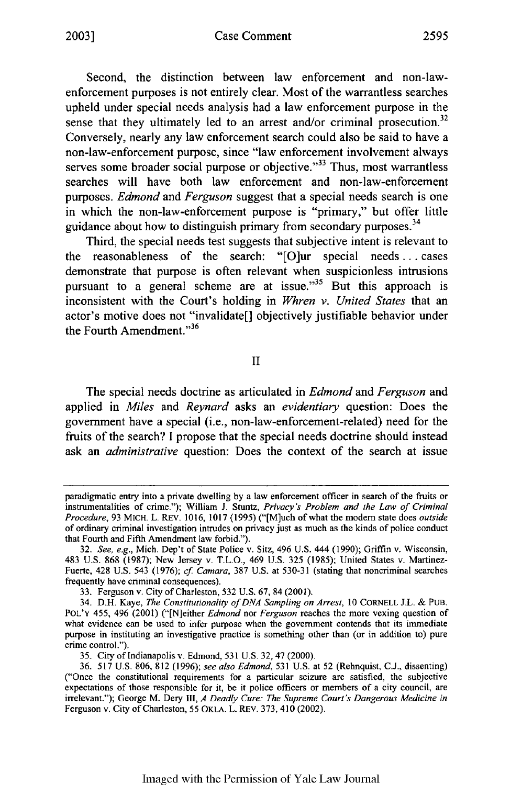Second, the distinction between law enforcement and non-lawenforcement purposes is not entirely clear. Most of the warrantless searches upheld under special needs analysis had a law enforcement purpose in the sense that they ultimately led to an arrest and/or criminal prosecution.<sup>32</sup> Conversely, nearly any law enforcement search could also be said to have a non-law-enforcement purpose, since "law enforcement involvement always serves some broader social purpose or objective. $133$  Thus, most warrantless searches will have both law enforcement and non-law-enforcement purposes. *Edmond* and *Ferguson* suggest that a special needs search is one in which the non-law-enforcement purpose is "primary," but offer little guidance about how to distinguish primary from secondary purposes.<sup>34</sup>

Third, the special needs test suggests that subjective intent is relevant to the reasonableness of the search: "[O]ur special needs.. .cases demonstrate that purpose is often relevant when suspicionless intrusions pursuant to a general scheme are at issue." $35$  But this approach is inconsistent with the Court's holding in *Whren v. United States* that an actor's motive does not "invalidate[] objectively justifiable behavior under the Fourth Amendment."<sup>36</sup>

II

The special needs doctrine as articulated in *Edmond* and *Ferguson* and applied in *Miles* and *Reynard* asks an *evidentiary* question: Does the government have a special (i.e., non-law-enforcement-related) need for the fruits of the search? I propose that the special needs doctrine should instead ask an *administrative* question: Does the context of the search at issue

paradigmatic entry into a private dwelling by a law enforcement officer in search of the fruits or instrumentalities of crime."); William **J.** Stuntz, *Privacy's Problem and the Law of Criminal Procedure,* 93 MICH. L. REV. 1016, 1017 (1995) ("[M]uch of what the modem state does *outside* of ordinary criminal investigation intrudes on privacy just as much as the kinds of police conduct that Fourth and Fifth Amendment law forbid.").

<sup>32.</sup> *See, e.g.,* Mich. Dep't of State Police v. Sitz, 496 U.S. **444** (1990); Griffin v. Wisconsin, 483 U.S. 868 (1987); New Jersey v. T.L.O., 469 U.S. 325 (1985); United States v. Martinez-Fuerte, 428 U.S. 543 (1976); *cf Camara,* 387 U.S. at 530-31 (stating that noncriminal searches frequently have criminal consequences).

<sup>33.</sup> Ferguson v. City of Charleston, 532 U.S. 67, 84 (2001).

<sup>34.</sup> D.H. Kaye, *The Constitutionality of DNA Sampling on Arrest,* **10** CORNELL J.L. & PUB. POL'Y 455, 496 (2001) ("[N]either *Edmond* nor *Ferguson* reaches the more vexing question of what evidence can be used to infer purpose when the government contends that its immediate purpose in instituting an investigative practice is something other than (or in addition to) pure crime control.").

<sup>35.</sup> City of Indianapolis v. Edmond, 531 U.S. 32, 47 (2000).

<sup>36. 517</sup> U.S. 806, 812 (1996); *see also Edmond,* 531 U.S. at 52 (Rehnquist, C.J., dissenting) ("Once the constitutional requirements for a particular seizure are satisfied, the subjective expectations of those responsible for it, be it police officers or members of a city council, are irrelevant."); George M. Dery 1II, *A Deadly Cure: The Supreme Court's Dangerous Medicine in* Ferguson v. City of Charleston, 55 OKLA. L. REV. 373, 410 (2002).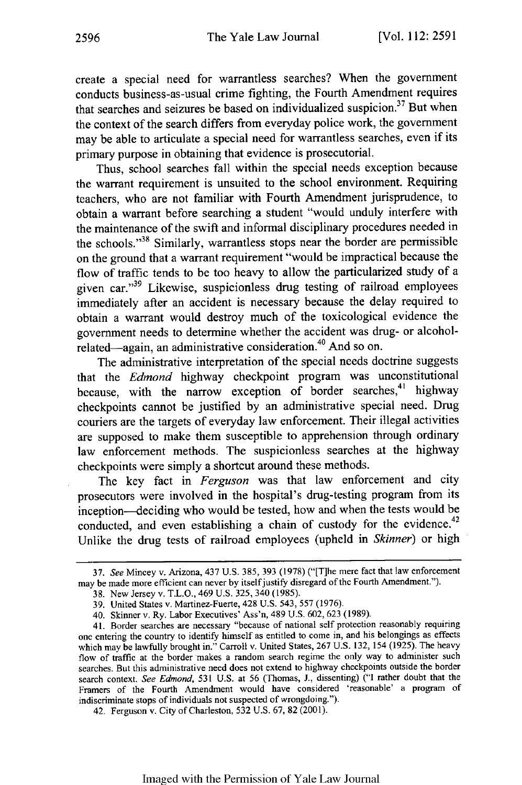create a special need for warrantless searches? When the government conducts business-as-usual crime fighting, the Fourth Amendment requires that searches and seizures be based on individualized suspicion.<sup>37</sup> But when the context of the search differs from everyday police work, the government may be able to articulate a special need for warrantless searches, even if its primary purpose in obtaining that evidence is prosecutorial.

Thus, school searches fall within the special needs exception because the warrant requirement is unsuited to the school environment. Requiring teachers, who are not familiar with Fourth Amendment jurisprudence, to obtain a warrant before searching a student "would unduly interfere with the maintenance of the swift and informal disciplinary procedures needed in the schools."3'8 Similarly, warrantless stops near the border are permissible on the ground that a warrant requirement "would be impractical because the flow of traffic tends to be too heavy to allow the particularized study of a given car."<sup>39</sup> Likewise, suspicionless drug testing of railroad employees immediately after an accident is necessary because the delay required to obtain a warrant would destroy much of the toxicological evidence the government needs to determine whether the accident was drug- or alcoholrelated—again, an administrative consideration.<sup>40</sup> And so on.

The administrative interpretation of the special needs doctrine suggests that the *Edmond* highway checkpoint program was unconstitutional because, with the narrow exception of border searches,<sup>41</sup> highway checkpoints cannot be justified by an administrative special need. Drug couriers are the targets of everyday law enforcement. Their illegal activities are supposed to make them susceptible to apprehension through ordinary law enforcement methods. The suspicionless searches at the highway checkpoints were simply a shortcut around these methods.

The key fact in *Ferguson* was that law enforcement and city prosecutors were involved in the hospital's drug-testing program from its inception--deciding who would be tested, how and when the tests would be conducted, and even establishing a chain of custody for the evidence.<sup>42</sup> Unlike the drug tests of railroad employees (upheld in *Skinner)* or high

42. Ferguson v. City of Charleston, 532 U.S. 67, 82 (2001).

<sup>37.</sup> See Mincey v. Arizona, 437 U.S. 385, 393 (1978) ("[T]he mere fact that law enforcement may be made more efficient can never by itself justify disregard of the Fourth Amendment.").

<sup>38.</sup> New Jersey v. T.L.O., 469 U.S. 325, 340 (1985).

<sup>39.</sup> United States v. Martinez-Fuerte, 428 U.S. 543, 557 (1976).

<sup>40.</sup> Skinner v. Ry. Labor Executives' Ass'n, 489 U.S. 602, 623 (1989).

<sup>41.</sup> Border searches are necessary "because of national self protection reasonably requiring one entering the country to identify himself as entitled to come in, and his belongings as effects which may be lawfully brought in." Carroll v. United States, 267 U.S. 132, 154 (1925). The heavy flow of traffic at the border makes a random search regime the only way to administer such searches. But this administrative need does not extend to highway checkpoints outside the border search context. See Edmond, 531 U.S. at 56 (Thomas, J., dissenting) ("I rather doubt that the Framers of the Fourth Amendment would have considered 'reasonable' a program of indiscriminate stops of individuals not suspected of wrongdoing.").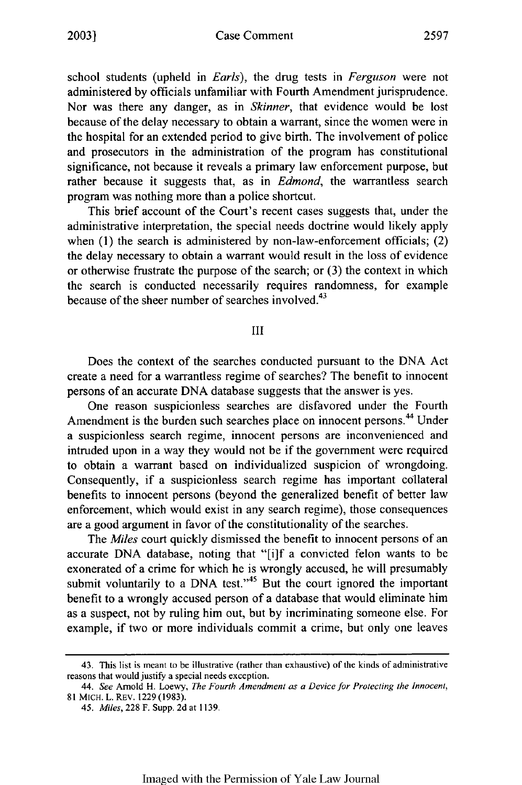school students (upheld in *Earls),* the drug tests in *Ferguson* were not administered by officials unfamiliar with Fourth Amendment jurisprudence. Nor was there any danger, as in *Skinner,* that evidence would be lost because of the delay necessary to obtain a warrant, since the women were in the hospital for an extended period to give birth. The involvement of police and prosecutors in the administration of the program has constitutional significance, not because it reveals a primary law enforcement purpose, but rather because it suggests that, as in *Edmond,* the warrantless search program was nothing more than a police shortcut.

This brief account of the Court's recent cases suggests that, under the administrative interpretation, the special needs doctrine would likely apply when (1) the search is administered by non-law-enforcement officials; (2) the delay necessary to obtain a warrant would result in the loss of evidence or otherwise frustrate the purpose of the search; or (3) the context in which the search is conducted necessarily requires randomness, for example because of the sheer number of searches involved. $43$ 

III

Does the context of the searches conducted pursuant to the DNA Act create a need for a warrantless regime of searches? The benefit to innocent persons of an accurate DNA database suggests that the answer is yes.

One reason suspicionless searches are disfavored under the Fourth Amendment is the burden such searches place on innocent persons.<sup>44</sup> Under a suspicionless search regime, innocent persons are inconvenienced and intruded upon in a way they would not be if the government were required to obtain a warrant based on individualized suspicion of wrongdoing. Consequently, if a suspicionless search regime has important collateral benefits to innocent persons (beyond the generalized benefit of better law enforcement, which would exist in any search regime), those consequences are a good argument in favor of the constitutionality of the searches.

The *Miles* court quickly dismissed the benefit to innocent persons of an accurate DNA database, noting that "[ijf a convicted felon wants to be exonerated of a crime for which he is wrongly accused, he will presumably submit voluntarily to a DNA test."<sup>45</sup> But the court ignored the important benefit to a wrongly accused person of a database that would eliminate him as a suspect, not by ruling him out, but by incriminating someone else. For example, if two or more individuals commit a crime, but only one leaves

<sup>43.</sup> This list is meant to be illustrative (rather than exhaustive) of the kinds of administrative reasons that would justify a special needs exception.

*<sup>44.</sup> See* Arnold H. Loewy, *The Fourth Amendment as a Device for Protecting the Innocent,* 81 MICH. L. REV. 1229(1983).

*<sup>45.</sup> Miles,* 228 F. Supp. 2d at 1139.